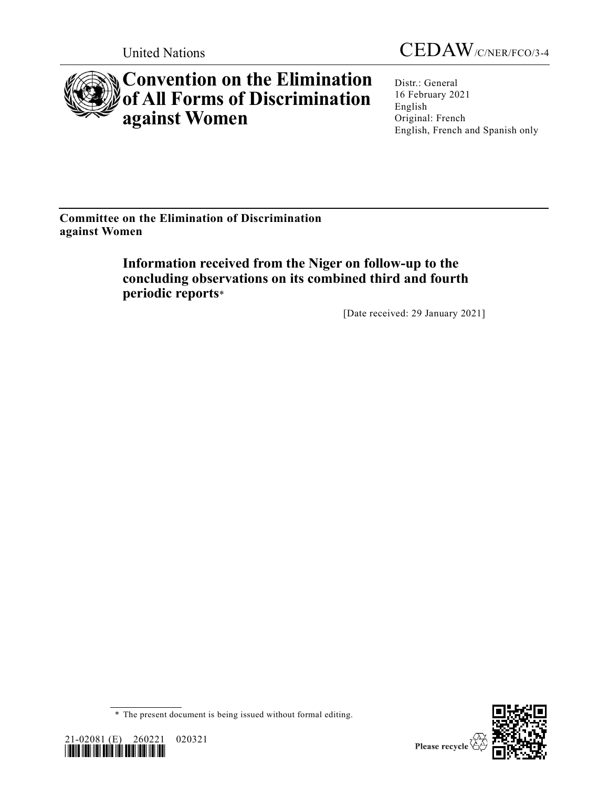



# **Convention on the Elimination of All Forms of Discrimination against Women**

Distr.: General 16 February 2021 English Original: French English, French and Spanish only

**Committee on the Elimination of Discrimination against Women**

> **Information received from the Niger on follow-up to the concluding observations on its combined third and fourth periodic reports**\*

> > [Date received: 29 January 2021]





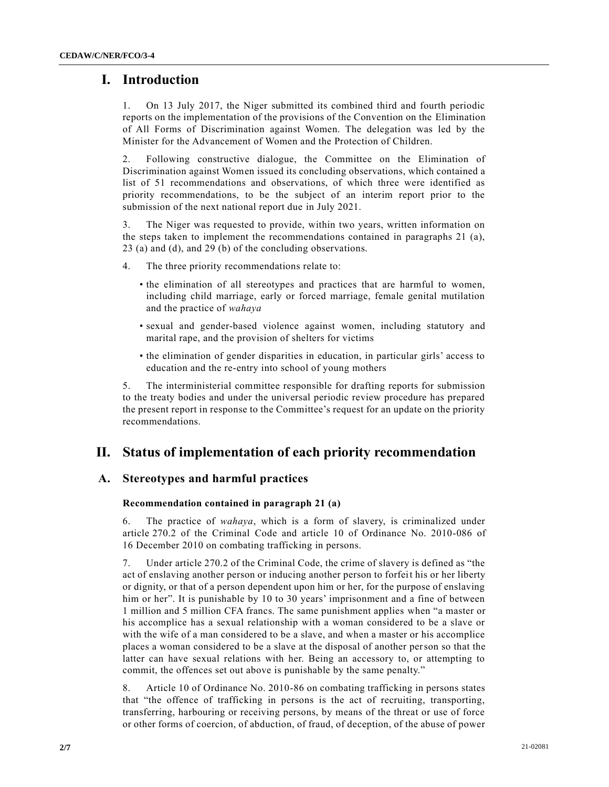# **I. Introduction**

1. On 13 July 2017, the Niger submitted its combined third and fourth periodic reports on the implementation of the provisions of the Convention on the Elimination of All Forms of Discrimination against Women. The delegation was led by the Minister for the Advancement of Women and the Protection of Children.

2. Following constructive dialogue, the Committee on the Elimination of Discrimination against Women issued its concluding observations, which contained a list of 51 recommendations and observations, of which three were identified as priority recommendations, to be the subject of an interim report prior to the submission of the next national report due in July 2021.

3. The Niger was requested to provide, within two years, written information on the steps taken to implement the recommendations contained in paragraphs 21 (a), 23 (a) and (d), and 29 (b) of the concluding observations.

- 4. The three priority recommendations relate to:
	- the elimination of all stereotypes and practices that are harmful to women, including child marriage, early or forced marriage, female genital mutilation and the practice of *wahaya*
	- sexual and gender-based violence against women, including statutory and marital rape, and the provision of shelters for victims
	- the elimination of gender disparities in education, in particular girls' access to education and the re-entry into school of young mothers

5. The interministerial committee responsible for drafting reports for submission to the treaty bodies and under the universal periodic review procedure has prepared the present report in response to the Committee's request for an update on the priority recommendations.

# **II. Status of implementation of each priority recommendation**

## **A. Stereotypes and harmful practices**

## **Recommendation contained in paragraph 21 (a)**

6. The practice of *wahaya*, which is a form of slavery, is criminalized under article 270.2 of the Criminal Code and article 10 of Ordinance No. 2010-086 of 16 December 2010 on combating trafficking in persons.

7. Under article 270.2 of the Criminal Code, the crime of slavery is defined as "the act of enslaving another person or inducing another person to forfeit his or her liberty or dignity, or that of a person dependent upon him or her, for the purpose of enslaving him or her". It is punishable by 10 to 30 years' imprisonment and a fine of between 1 million and 5 million CFA francs. The same punishment applies when "a master or his accomplice has a sexual relationship with a woman considered to be a slave or with the wife of a man considered to be a slave, and when a master or his accomplice places a woman considered to be a slave at the disposal of another person so that the latter can have sexual relations with her. Being an accessory to, or attempting to commit, the offences set out above is punishable by the same penalty."

8. Article 10 of Ordinance No. 2010-86 on combating trafficking in persons states that "the offence of trafficking in persons is the act of recruiting, transporting, transferring, harbouring or receiving persons, by means of the threat or use of force or other forms of coercion, of abduction, of fraud, of deception, of the abuse of power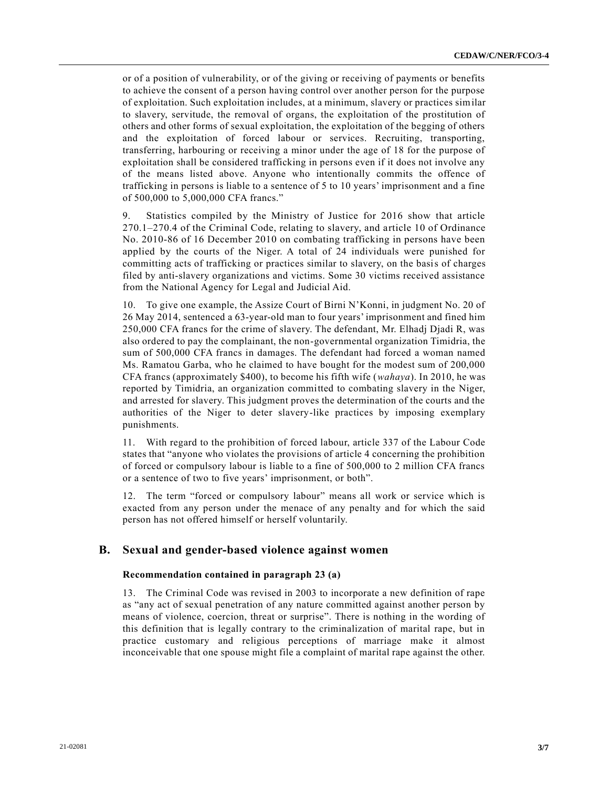or of a position of vulnerability, or of the giving or receiving of payments or benefits to achieve the consent of a person having control over another person for the purpose of exploitation. Such exploitation includes, at a minimum, slavery or practices similar to slavery, servitude, the removal of organs, the exploitation of the prostitution of others and other forms of sexual exploitation, the exploitation of the begging of others and the exploitation of forced labour or services. Recruiting, transporting, transferring, harbouring or receiving a minor under the age of 18 for the purpose of exploitation shall be considered trafficking in persons even if it does not involve any of the means listed above. Anyone who intentionally commits the offence of trafficking in persons is liable to a sentence of 5 to 10 years' imprisonment and a fine of 500,000 to 5,000,000 CFA francs."

9. Statistics compiled by the Ministry of Justice for 2016 show that article 270.1–270.4 of the Criminal Code, relating to slavery, and article 10 of Ordinance No. 2010-86 of 16 December 2010 on combating trafficking in persons have been applied by the courts of the Niger. A total of 24 individuals were punished for committing acts of trafficking or practices similar to slavery, on the basis of charges filed by anti-slavery organizations and victims. Some 30 victims received assistance from the National Agency for Legal and Judicial Aid.

10. To give one example, the Assize Court of Birni N'Konni, in judgment No. 20 of 26 May 2014, sentenced a 63-year-old man to four years' imprisonment and fined him 250,000 CFA francs for the crime of slavery. The defendant, Mr. Elhadj Djadi R, was also ordered to pay the complainant, the non-governmental organization Timidria, the sum of 500,000 CFA francs in damages. The defendant had forced a woman named Ms. Ramatou Garba, who he claimed to have bought for the modest sum of 200,000 CFA francs (approximately \$400), to become his fifth wife (*wahaya*). In 2010, he was reported by Timidria, an organization committed to combating slavery in the Niger, and arrested for slavery. This judgment proves the determination of the courts and the authorities of the Niger to deter slavery-like practices by imposing exemplary punishments.

11. With regard to the prohibition of forced labour, article 337 of the Labour Code states that "anyone who violates the provisions of article 4 concerning the prohibition of forced or compulsory labour is liable to a fine of 500,000 to 2 million CFA francs or a sentence of two to five years' imprisonment, or both".

12. The term "forced or compulsory labour" means all work or service which is exacted from any person under the menace of any penalty and for which the said person has not offered himself or herself voluntarily.

## **B. Sexual and gender-based violence against women**

#### **Recommendation contained in paragraph 23 (a)**

13. The Criminal Code was revised in 2003 to incorporate a new definition of rape as "any act of sexual penetration of any nature committed against another person by means of violence, coercion, threat or surprise". There is nothing in the wording of this definition that is legally contrary to the criminalization of marital rape, but in practice customary and religious perceptions of marriage make it almost inconceivable that one spouse might file a complaint of marital rape against the other.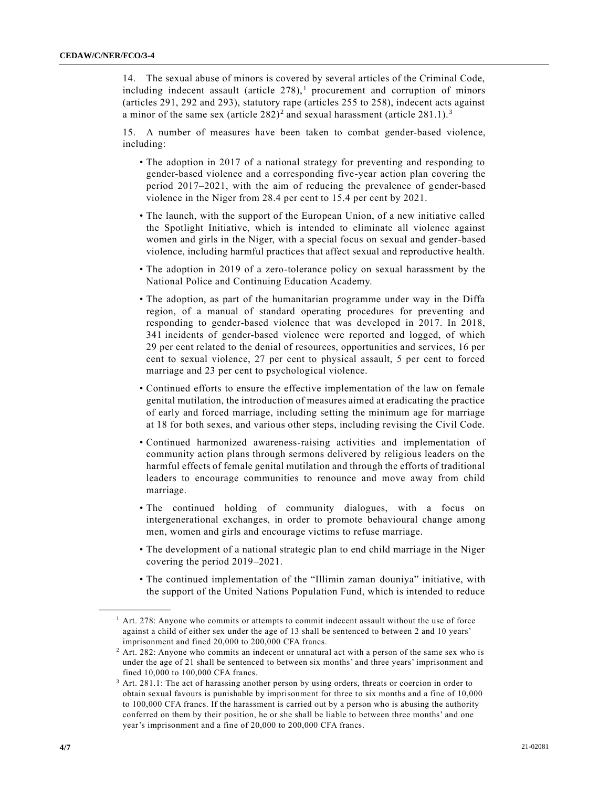14. The sexual abuse of minors is covered by several articles of the Criminal Code, including indecent assault (article  $278$ ),<sup>1</sup> procurement and corruption of minors (articles 291, 292 and 293), statutory rape (articles 255 to 258), indecent acts against a minor of the same sex (article  $282)^2$  and sexual harassment (article  $281.1$ ).<sup>3</sup>

15. A number of measures have been taken to combat gender-based violence, including:

- The adoption in 2017 of a national strategy for preventing and responding to gender-based violence and a corresponding five-year action plan covering the period 2017–2021, with the aim of reducing the prevalence of gender-based violence in the Niger from 28.4 per cent to 15.4 per cent by 2021.
- The launch, with the support of the European Union, of a new initiative called the Spotlight Initiative, which is intended to eliminate all violence against women and girls in the Niger, with a special focus on sexual and gender-based violence, including harmful practices that affect sexual and reproductive health.
- The adoption in 2019 of a zero-tolerance policy on sexual harassment by the National Police and Continuing Education Academy.
- The adoption, as part of the humanitarian programme under way in the Diffa region, of a manual of standard operating procedures for preventing and responding to gender-based violence that was developed in 2017. In 2018, 341 incidents of gender-based violence were reported and logged, of which 29 per cent related to the denial of resources, opportunities and services, 16 per cent to sexual violence, 27 per cent to physical assault, 5 per cent to forced marriage and 23 per cent to psychological violence.
- Continued efforts to ensure the effective implementation of the law on female genital mutilation, the introduction of measures aimed at eradicating the practice of early and forced marriage, including setting the minimum age for marriage at 18 for both sexes, and various other steps, including revising the Civil Code.
- Continued harmonized awareness-raising activities and implementation of community action plans through sermons delivered by religious leaders on the harmful effects of female genital mutilation and through the efforts of traditional leaders to encourage communities to renounce and move away from child marriage.
- The continued holding of community dialogues, with a focus on intergenerational exchanges, in order to promote behavioural change among men, women and girls and encourage victims to refuse marriage.
- The development of a national strategic plan to end child marriage in the Niger covering the period 2019–2021.
- The continued implementation of the "Illimin zaman douniya" initiative, with the support of the United Nations Population Fund, which is intended to reduce

**\_\_\_\_\_\_\_\_\_\_\_\_\_\_\_\_\_\_**

 $<sup>1</sup>$  Art. 278: Anyone who commits or attempts to commit indecent assault without the use of force</sup> against a child of either sex under the age of 13 shall be sentenced to between 2 and 10 years' imprisonment and fined 20,000 to 200,000 CFA francs.

<sup>&</sup>lt;sup>2</sup> Art. 282: Anyone who commits an indecent or unnatural act with a person of the same sex who is under the age of 21 shall be sentenced to between six months' and three years' imprisonment and fined 10,000 to 100,000 CFA francs.

<sup>&</sup>lt;sup>3</sup> Art. 281.1: The act of harassing another person by using orders, threats or coercion in order to obtain sexual favours is punishable by imprisonment for three to six months and a fine of 10,000 to 100,000 CFA francs. If the harassment is carried out by a person who is abusing the authority conferred on them by their position, he or she shall be liable to between three months' and one year's imprisonment and a fine of 20,000 to 200,000 CFA francs.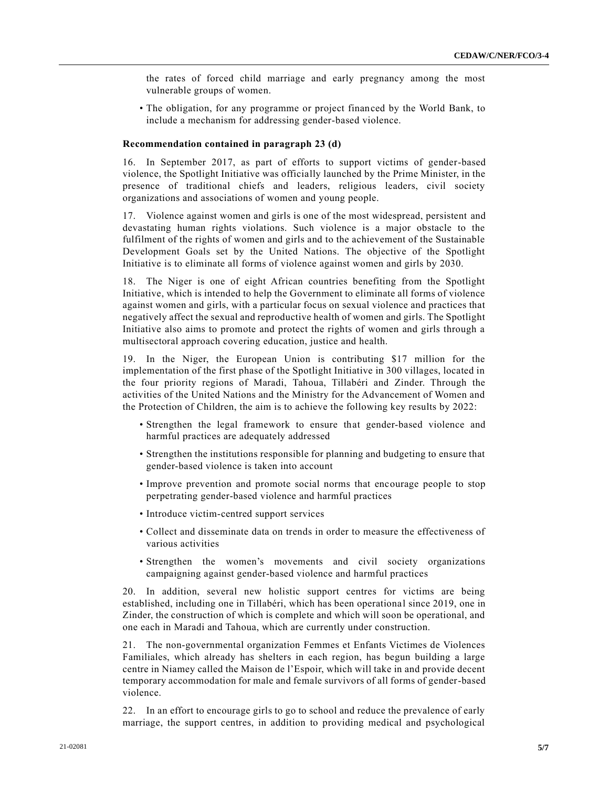the rates of forced child marriage and early pregnancy among the most vulnerable groups of women.

• The obligation, for any programme or project financed by the World Bank, to include a mechanism for addressing gender-based violence.

#### **Recommendation contained in paragraph 23 (d)**

16. In September 2017, as part of efforts to support victims of gender-based violence, the Spotlight Initiative was officially launched by the Prime Minister, in the presence of traditional chiefs and leaders, religious leaders, civil society organizations and associations of women and young people.

17. Violence against women and girls is one of the most widespread, persistent and devastating human rights violations. Such violence is a major obstacle to the fulfilment of the rights of women and girls and to the achievement of the Sustainable Development Goals set by the United Nations. The objective of the Spotlight Initiative is to eliminate all forms of violence against women and girls by 2030.

18. The Niger is one of eight African countries benefiting from the Spotlight Initiative, which is intended to help the Government to eliminate all forms of violence against women and girls, with a particular focus on sexual violence and practices that negatively affect the sexual and reproductive health of women and girls. The Spotlight Initiative also aims to promote and protect the rights of women and girls through a multisectoral approach covering education, justice and health.

19. In the Niger, the European Union is contributing \$17 million for the implementation of the first phase of the Spotlight Initiative in 300 villages, located in the four priority regions of Maradi, Tahoua, Tillabéri and Zinder. Through the activities of the United Nations and the Ministry for the Advancement of Women and the Protection of Children, the aim is to achieve the following key results by 2022:

- Strengthen the legal framework to ensure that gender-based violence and harmful practices are adequately addressed
- Strengthen the institutions responsible for planning and budgeting to ensure that gender-based violence is taken into account
- Improve prevention and promote social norms that encourage people to stop perpetrating gender-based violence and harmful practices
- Introduce victim-centred support services
- Collect and disseminate data on trends in order to measure the effectiveness of various activities
- Strengthen the women's movements and civil society organizations campaigning against gender-based violence and harmful practices

20. In addition, several new holistic support centres for victims are being established, including one in Tillabéri, which has been operational since 2019, one in Zinder, the construction of which is complete and which will soon be operational, and one each in Maradi and Tahoua, which are currently under construction.

21. The non-governmental organization Femmes et Enfants Victimes de Violences Familiales, which already has shelters in each region, has begun building a large centre in Niamey called the Maison de l'Espoir, which will take in and provide decent temporary accommodation for male and female survivors of all forms of gender-based violence.

22. In an effort to encourage girls to go to school and reduce the prevalence of early marriage, the support centres, in addition to providing medical and psychological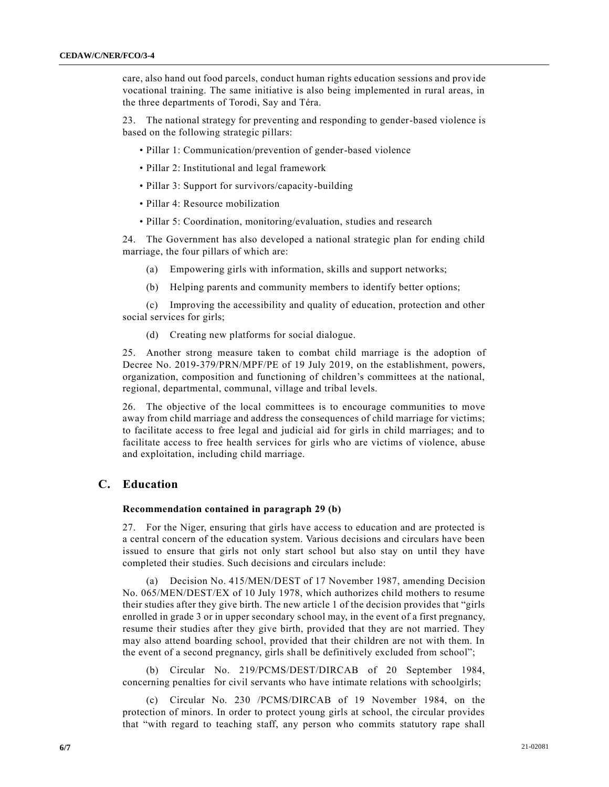care, also hand out food parcels, conduct human rights education sessions and provide vocational training. The same initiative is also being implemented in rural areas, in the three departments of Torodi, Say and Téra.

23. The national strategy for preventing and responding to gender-based violence is based on the following strategic pillars:

- Pillar 1: Communication/prevention of gender-based violence
- Pillar 2: Institutional and legal framework
- Pillar 3: Support for survivors/capacity-building
- Pillar 4: Resource mobilization
- Pillar 5: Coordination, monitoring/evaluation, studies and research

24. The Government has also developed a national strategic plan for ending child marriage, the four pillars of which are:

- (a) Empowering girls with information, skills and support networks;
- (b) Helping parents and community members to identify better options;

(c) Improving the accessibility and quality of education, protection and other social services for girls;

(d) Creating new platforms for social dialogue.

25. Another strong measure taken to combat child marriage is the adoption of Decree No. 2019-379/PRN/MPF/PE of 19 July 2019, on the establishment, powers, organization, composition and functioning of children's committees at the national, regional, departmental, communal, village and tribal levels.

26. The objective of the local committees is to encourage communities to move away from child marriage and address the consequences of child marriage for victims; to facilitate access to free legal and judicial aid for girls in child marriages; and to facilitate access to free health services for girls who are victims of violence, abuse and exploitation, including child marriage.

## **C. Education**

#### **Recommendation contained in paragraph 29 (b)**

27. For the Niger, ensuring that girls have access to education and are protected is a central concern of the education system. Various decisions and circulars have been issued to ensure that girls not only start school but also stay on until they have completed their studies. Such decisions and circulars include:

(a) Decision No. 415/MEN/DEST of 17 November 1987, amending Decision No. 065/MEN/DEST/EX of 10 July 1978, which authorizes child mothers to resume their studies after they give birth. The new article 1 of the decision provides that "girls enrolled in grade 3 or in upper secondary school may, in the event of a first pregnancy, resume their studies after they give birth, provided that they are not married. They may also attend boarding school, provided that their children are not with them. In the event of a second pregnancy, girls shall be definitively excluded from school";

(b) Circular No. 219/PCMS/DEST/DIRCAB of 20 September 1984, concerning penalties for civil servants who have intimate relations with schoolgirls;

(c) Circular No. 230 /PCMS/DIRCAB of 19 November 1984, on the protection of minors. In order to protect young girls at school, the circular provides that "with regard to teaching staff, any person who commits statutory rape shall